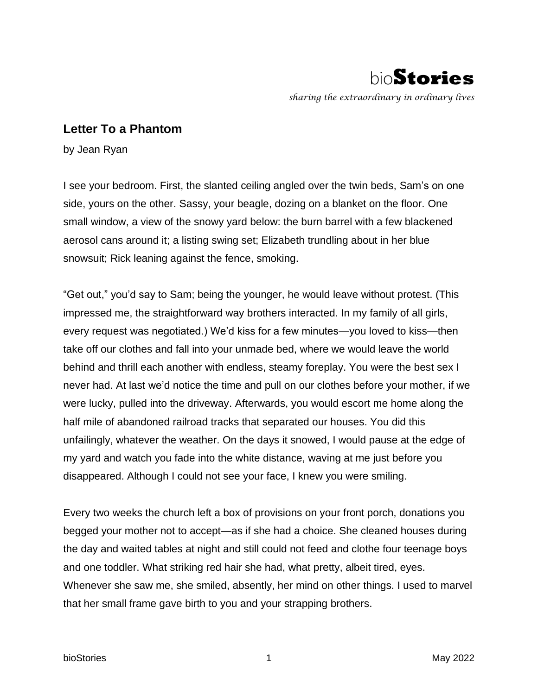

## **Letter To a Phantom**

by Jean Ryan

I see your bedroom. First, the slanted ceiling angled over the twin beds, Sam's on one side, yours on the other. Sassy, your beagle, dozing on a blanket on the floor. One small window, a view of the snowy yard below: the burn barrel with a few blackened aerosol cans around it; a listing swing set; Elizabeth trundling about in her blue snowsuit; Rick leaning against the fence, smoking.

"Get out," you'd say to Sam; being the younger, he would leave without protest. (This impressed me, the straightforward way brothers interacted. In my family of all girls, every request was negotiated.) We'd kiss for a few minutes—you loved to kiss—then take off our clothes and fall into your unmade bed, where we would leave the world behind and thrill each another with endless, steamy foreplay. You were the best sex I never had. At last we'd notice the time and pull on our clothes before your mother, if we were lucky, pulled into the driveway. Afterwards, you would escort me home along the half mile of abandoned railroad tracks that separated our houses. You did this unfailingly, whatever the weather. On the days it snowed, I would pause at the edge of my yard and watch you fade into the white distance, waving at me just before you disappeared. Although I could not see your face, I knew you were smiling.

Every two weeks the church left a box of provisions on your front porch, donations you begged your mother not to accept—as if she had a choice. She cleaned houses during the day and waited tables at night and still could not feed and clothe four teenage boys and one toddler. What striking red hair she had, what pretty, albeit tired, eyes. Whenever she saw me, she smiled, absently, her mind on other things. I used to marvel that her small frame gave birth to you and your strapping brothers.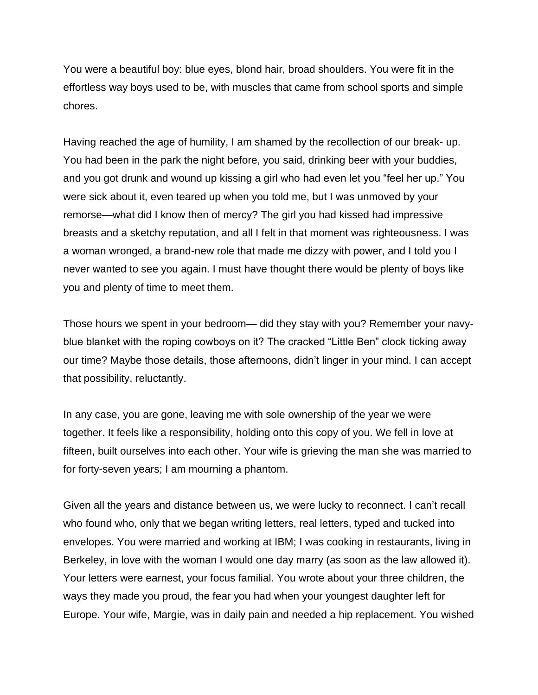You were a beautiful boy: blue eyes, blond hair, broad shoulders. You were fit in the effortless way boys used to be, with muscles that came from school sports and simple chores.

Having reached the age of humility, I am shamed by the recollection of our break- up. You had been in the park the night before, you said, drinking beer with your buddies, and you got drunk and wound up kissing a girl who had even let you "feel her up." You were sick about it, even teared up when you told me, but I was unmoved by your remorse—what did I know then of mercy? The girl you had kissed had impressive breasts and a sketchy reputation, and all I felt in that moment was righteousness. I was a woman wronged, a brand-new role that made me dizzy with power, and I told you I never wanted to see you again. I must have thought there would be plenty of boys like you and plenty of time to meet them.

Those hours we spent in your bedroom— did they stay with you? Remember your navyblue blanket with the roping cowboys on it? The cracked "Little Ben" clock ticking away our time? Maybe those details, those afternoons, didn't linger in your mind. I can accept that possibility, reluctantly.

In any case, you are gone, leaving me with sole ownership of the year we were together. It feels like a responsibility, holding onto this copy of you. We fell in love at fifteen, built ourselves into each other. Your wife is grieving the man she was married to for forty-seven years; I am mourning a phantom.

Given all the years and distance between us, we were lucky to reconnect. I can't recall who found who, only that we began writing letters, real letters, typed and tucked into envelopes. You were married and working at IBM; I was cooking in restaurants, living in Berkeley, in love with the woman I would one day marry (as soon as the law allowed it). Your letters were earnest, your focus familial. You wrote about your three children, the ways they made you proud, the fear you had when your youngest daughter left for Europe. Your wife, Margie, was in daily pain and needed a hip replacement. You wished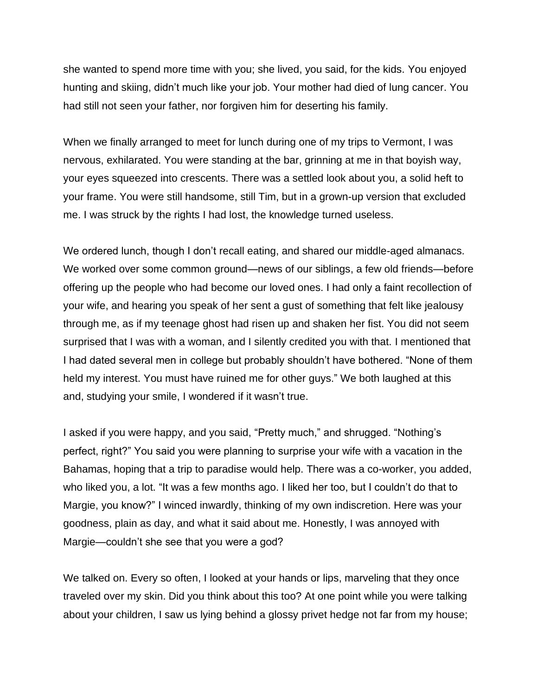she wanted to spend more time with you; she lived, you said, for the kids. You enjoyed hunting and skiing, didn't much like your job. Your mother had died of lung cancer. You had still not seen your father, nor forgiven him for deserting his family.

When we finally arranged to meet for lunch during one of my trips to Vermont, I was nervous, exhilarated. You were standing at the bar, grinning at me in that boyish way, your eyes squeezed into crescents. There was a settled look about you, a solid heft to your frame. You were still handsome, still Tim, but in a grown-up version that excluded me. I was struck by the rights I had lost, the knowledge turned useless.

We ordered lunch, though I don't recall eating, and shared our middle-aged almanacs. We worked over some common ground—news of our siblings, a few old friends—before offering up the people who had become our loved ones. I had only a faint recollection of your wife, and hearing you speak of her sent a gust of something that felt like jealousy through me, as if my teenage ghost had risen up and shaken her fist. You did not seem surprised that I was with a woman, and I silently credited you with that. I mentioned that I had dated several men in college but probably shouldn't have bothered. "None of them held my interest. You must have ruined me for other guys." We both laughed at this and, studying your smile, I wondered if it wasn't true.

I asked if you were happy, and you said, "Pretty much," and shrugged. "Nothing's perfect, right?" You said you were planning to surprise your wife with a vacation in the Bahamas, hoping that a trip to paradise would help. There was a co-worker, you added, who liked you, a lot. "It was a few months ago. I liked her too, but I couldn't do that to Margie, you know?" I winced inwardly, thinking of my own indiscretion. Here was your goodness, plain as day, and what it said about me. Honestly, I was annoyed with Margie—couldn't she see that you were a god?

We talked on. Every so often, I looked at your hands or lips, marveling that they once traveled over my skin. Did you think about this too? At one point while you were talking about your children, I saw us lying behind a glossy privet hedge not far from my house;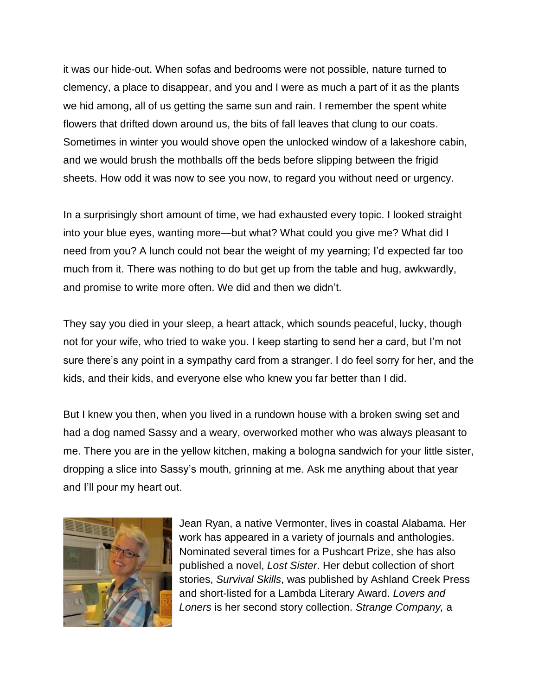it was our hide-out. When sofas and bedrooms were not possible, nature turned to clemency, a place to disappear, and you and I were as much a part of it as the plants we hid among, all of us getting the same sun and rain. I remember the spent white flowers that drifted down around us, the bits of fall leaves that clung to our coats. Sometimes in winter you would shove open the unlocked window of a lakeshore cabin, and we would brush the mothballs off the beds before slipping between the frigid sheets. How odd it was now to see you now, to regard you without need or urgency.

In a surprisingly short amount of time, we had exhausted every topic. I looked straight into your blue eyes, wanting more—but what? What could you give me? What did I need from you? A lunch could not bear the weight of my yearning; I'd expected far too much from it. There was nothing to do but get up from the table and hug, awkwardly, and promise to write more often. We did and then we didn't.

They say you died in your sleep, a heart attack, which sounds peaceful, lucky, though not for your wife, who tried to wake you. I keep starting to send her a card, but I'm not sure there's any point in a sympathy card from a stranger. I do feel sorry for her, and the kids, and their kids, and everyone else who knew you far better than I did.

But I knew you then, when you lived in a rundown house with a broken swing set and had a dog named Sassy and a weary, overworked mother who was always pleasant to me. There you are in the yellow kitchen, making a bologna sandwich for your little sister, dropping a slice into Sassy's mouth, grinning at me. Ask me anything about that year and I'll pour my heart out.



Jean Ryan, a native Vermonter, lives in coastal Alabama. Her work has appeared in a variety of journals and anthologies. Nominated several times for a Pushcart Prize, she has also published a novel, *Lost Sister*. Her debut collection of short stories, *Survival Skills*, was published by Ashland Creek Press and short-listed for a Lambda Literary Award. *Lovers and Loners* is her second story collection. *Strange Company,* a